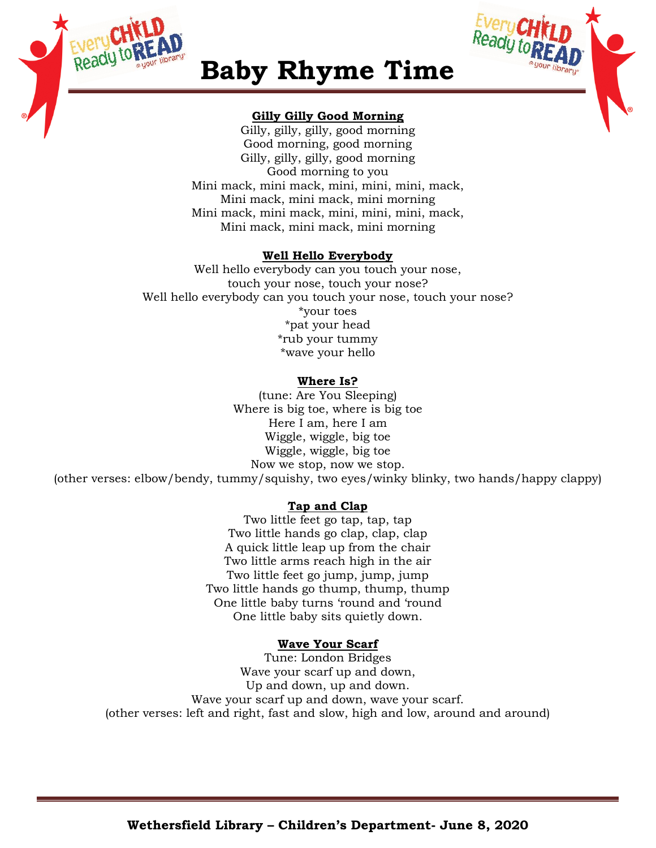



## **Baby Rhyme Time**

### **Gilly Gilly Good Morning**

Gilly, gilly, gilly, good morning Good morning, good morning Gilly, gilly, gilly, good morning Good morning to you Mini mack, mini mack, mini, mini, mini, mack, Mini mack, mini mack, mini morning Mini mack, mini mack, mini, mini, mini, mack, Mini mack, mini mack, mini morning

## **Well Hello Everybody**

Well hello everybody can you touch your nose, touch your nose, touch your nose? Well hello everybody can you touch your nose, touch your nose? \*your toes \*pat your head \*rub your tummy \*wave your hello

## **Where Is?**

(tune: Are You Sleeping) Where is big toe, where is big toe Here I am, here I am Wiggle, wiggle, big toe Wiggle, wiggle, big toe Now we stop, now we stop.

(other verses: elbow/bendy, tummy/squishy, two eyes/winky blinky, two hands/happy clappy)

## **Tap and Clap**

Two little feet go tap, tap, tap Two little hands go clap, clap, clap A quick little leap up from the chair Two little arms reach high in the air Two little feet go jump, jump, jump Two little hands go thump, thump, thump One little baby turns 'round and 'round One little baby sits quietly down.

## **Wave Your Scarf**

Tune: London Bridges Wave your scarf up and down, Up and down, up and down. Wave your scarf up and down, wave your scarf. (other verses: left and right, fast and slow, high and low, around and around)